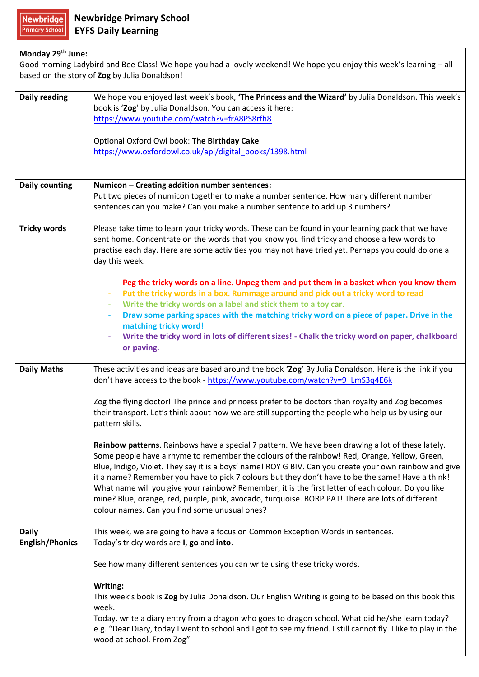| Good morning Ladybird and Bee Class! We hope you had a lovely weekend! We hope you enjoy this week's learning - all                                                                                  |
|------------------------------------------------------------------------------------------------------------------------------------------------------------------------------------------------------|
|                                                                                                                                                                                                      |
|                                                                                                                                                                                                      |
|                                                                                                                                                                                                      |
| We hope you enjoyed last week's book, 'The Princess and the Wizard' by Julia Donaldson. This week's                                                                                                  |
|                                                                                                                                                                                                      |
|                                                                                                                                                                                                      |
|                                                                                                                                                                                                      |
|                                                                                                                                                                                                      |
|                                                                                                                                                                                                      |
|                                                                                                                                                                                                      |
|                                                                                                                                                                                                      |
|                                                                                                                                                                                                      |
|                                                                                                                                                                                                      |
|                                                                                                                                                                                                      |
| Please take time to learn your tricky words. These can be found in your learning pack that we have                                                                                                   |
|                                                                                                                                                                                                      |
| practise each day. Here are some activities you may not have tried yet. Perhaps you could do one a                                                                                                   |
|                                                                                                                                                                                                      |
|                                                                                                                                                                                                      |
| Peg the tricky words on a line. Unpeg them and put them in a basket when you know them                                                                                                               |
|                                                                                                                                                                                                      |
| Draw some parking spaces with the matching tricky word on a piece of paper. Drive in the                                                                                                             |
|                                                                                                                                                                                                      |
| Write the tricky word in lots of different sizes! - Chalk the tricky word on paper, chalkboard                                                                                                       |
|                                                                                                                                                                                                      |
|                                                                                                                                                                                                      |
| These activities and ideas are based around the book 'Zog' By Julia Donaldson. Here is the link if you                                                                                               |
|                                                                                                                                                                                                      |
|                                                                                                                                                                                                      |
|                                                                                                                                                                                                      |
|                                                                                                                                                                                                      |
|                                                                                                                                                                                                      |
|                                                                                                                                                                                                      |
|                                                                                                                                                                                                      |
| Blue, Indigo, Violet. They say it is a boys' name! ROY G BIV. Can you create your own rainbow and give                                                                                               |
| it a name? Remember you have to pick 7 colours but they don't have to be the same! Have a think!                                                                                                     |
|                                                                                                                                                                                                      |
|                                                                                                                                                                                                      |
|                                                                                                                                                                                                      |
|                                                                                                                                                                                                      |
|                                                                                                                                                                                                      |
|                                                                                                                                                                                                      |
|                                                                                                                                                                                                      |
|                                                                                                                                                                                                      |
|                                                                                                                                                                                                      |
| This week's book is Zog by Julia Donaldson. Our English Writing is going to be based on this book this                                                                                               |
|                                                                                                                                                                                                      |
|                                                                                                                                                                                                      |
| e.g. "Dear Diary, today I went to school and I got to see my friend. I still cannot fly. I like to play in the                                                                                       |
|                                                                                                                                                                                                      |
| Rainbow patterns. Rainbows have a special 7 pattern. We have been drawing a lot of these lately.<br>Today, write a diary entry from a dragon who goes to dragon school. What did he/she learn today? |